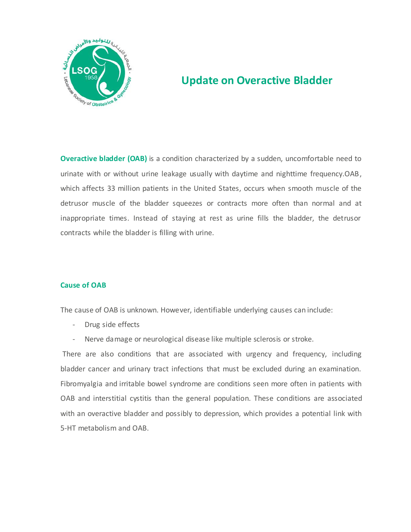

# **Update on Overactive Bladder**

**Overactive bladder (OAB)** is a condition characterized by a sudden, uncomfortable need to urinate with or without urine leakage usually with daytime and nighttime frequency.OAB, which affects 33 million patients in the United States, occurs when smooth muscle of the detrusor muscle of the bladder squeezes or contracts more often than normal and at inappropriate times. Instead of staying at rest as urine fills the bladder, the detrusor contracts while the bladder is filling with urine.

### **Cause of OAB**

The cause of OAB is unknown. However, identifiable underlying causes can include:

- Drug side effects
- Nerve damage or neurological disease like multiple sclerosis or stroke.

There are also conditions that are associated with urgency and frequency, including bladder cancer and urinary tract infections that must be excluded during an examination. Fibromyalgia and irritable bowel syndrome are conditions seen more often in patients with OAB and interstitial cystitis than the general population. These conditions are associated with an overactive bladder and possibly to depression, which provides a potential link with 5-HT metabolism and OAB.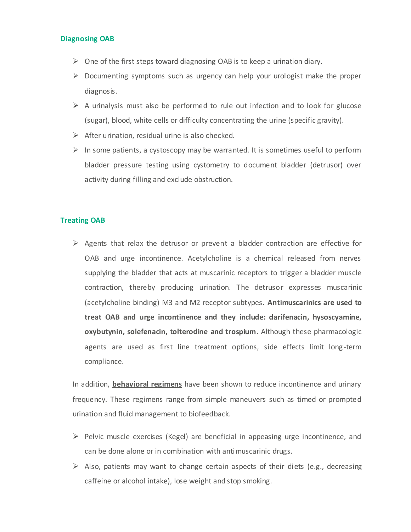#### **Diagnosing OAB**

- $\triangleright$  One of the first steps toward diagnosing OAB is to keep a urination diary.
- $\triangleright$  Documenting symptoms such as urgency can help your urologist make the proper diagnosis.
- $\triangleright$  A urinalysis must also be performed to rule out infection and to look for glucose (sugar), blood, white cells or difficulty concentrating the urine (specific gravity).
- $\triangleright$  After urination, residual urine is also checked.
- $\triangleright$  In some patients, a cystoscopy may be warranted. It is sometimes useful to perform bladder pressure testing using cystometry to document bladder (detrusor) over activity during filling and exclude obstruction.

#### **Treating OAB**

 $\triangleright$  Agents that relax the detrusor or prevent a bladder contraction are effective for OAB and urge incontinence. Acetylcholine is a chemical released from nerves supplying the bladder that acts at muscarinic receptors to trigger a bladder muscle contraction, thereby producing urination. The detrusor expresses muscarinic (acetylcholine binding) M3 and M2 receptor subtypes. **Antimuscarinics are used to treat OAB and urge incontinence and they include: darifenacin, hysoscyamine, oxybutynin, solefenacin, tolterodine and trospium.** Although these pharmacologic agents are used as first line treatment options, side effects limit long-term compliance.

In addition, **behavioral regimens** have been shown to reduce incontinence and urinary frequency. These regimens range from simple maneuvers such as timed or prompted urination and fluid management to biofeedback.

- $\triangleright$  Pelvic muscle exercises (Kegel) are beneficial in appeasing urge incontinence, and can be done alone or in combination with antimuscarinic drugs.
- $\triangleright$  Also, patients may want to change certain aspects of their diets (e.g., decreasing caffeine or alcohol intake), lose weight and stop smoking.